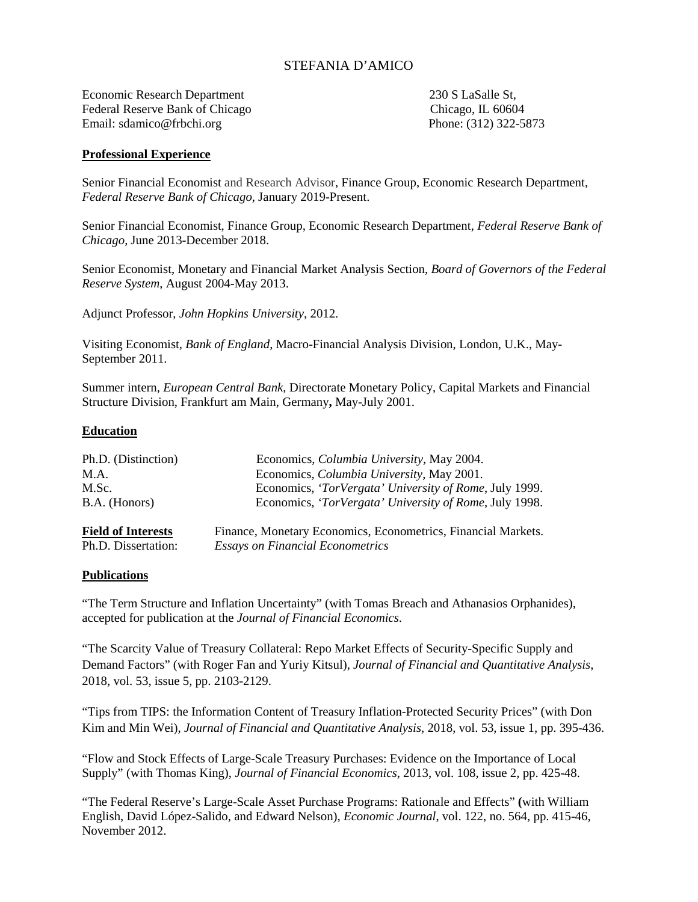# STEFANIA D'AMICO

Economic Research Department 230 S LaSalle St, Federal Reserve Bank of Chicago Chicago Chicago, IL 60604 Email: sdamico@frbchi.org Phone: (312) 322-5873

### **Professional Experience**

Senior Financial Economist and Research Advisor, Finance Group, Economic Research Department, *Federal Reserve Bank of Chicago*, January 2019-Present.

Senior Financial Economist, Finance Group, Economic Research Department, *Federal Reserve Bank of Chicago*, June 2013-December 2018.

Senior Economist, Monetary and Financial Market Analysis Section, *Board of Governors of the Federal Reserve System*, August 2004-May 2013.

Adjunct Professor, *John Hopkins University*, 2012.

Visiting Economist, *Bank of England*, Macro-Financial Analysis Division, London, U.K., May-September 2011.

Summer intern, *European Central Bank*, Directorate Monetary Policy, Capital Markets and Financial Structure Division, Frankfurt am Main, Germany**,** May-July 2001.

#### **Education**

| Ph.D. (Distinction)       | Economics, <i>Columbia University</i> , May 2004.             |
|---------------------------|---------------------------------------------------------------|
| M.A.                      | Economics, <i>Columbia University</i> , May 2001.             |
| M.Sc.                     | Economics, 'TorVergata' University of Rome, July 1999.        |
| B.A. (Honors)             | Economics, 'TorVergata' University of Rome, July 1998.        |
| <b>Field of Interests</b> | Finance, Monetary Economics, Econometrics, Financial Markets. |
| Ph.D. Dissertation:       | <b>Essays on Financial Econometrics</b>                       |

#### **Publications**

["The Term Structure and Inflation Uncertainty"](https://www.chicagofed.org/publications/working-papers/2016/wp2016-22) (with Tomas Breach and Athanasios Orphanides), accepted for publication at the *Journal of Financial Economics*.

["The Scarcity Value of Treasury Collateral: Repo Market Effects of Security-Specific Supply and](https://www.chicagofed.org/publications/working-papers/2013/wp-22)  [Demand Factors"](https://www.chicagofed.org/publications/working-papers/2013/wp-22) (with Roger Fan and Yuriy Kitsul), *Journal of Financial and Quantitative Analysis*, 2018, vol. 53, issue 5, pp. 2103-2129.

"Tips from TIPS: the Information Content of Treasury Inflation-Protected Security Prices" (with Don Kim and Min Wei), *Journal of Financial and Quantitative Analysis,* 2018, vol. 53, issue 1, pp. 395-436.

"Flow and Stock Effects of Large-Scale Treasury Purchases: Evidence on the Importance of Local Supply" (with Thomas King), *Journal of Financial Economics*, 2013, vol. 108, issue 2, pp. 425-48.

"The Federal Reserve's Large-Scale Asset Purchase Programs: Rationale and Effects" **(**with William English, David López-Salido, and Edward Nelson), *Economic Journal*, vol. 122, no. 564, pp. 415-46, November 2012.